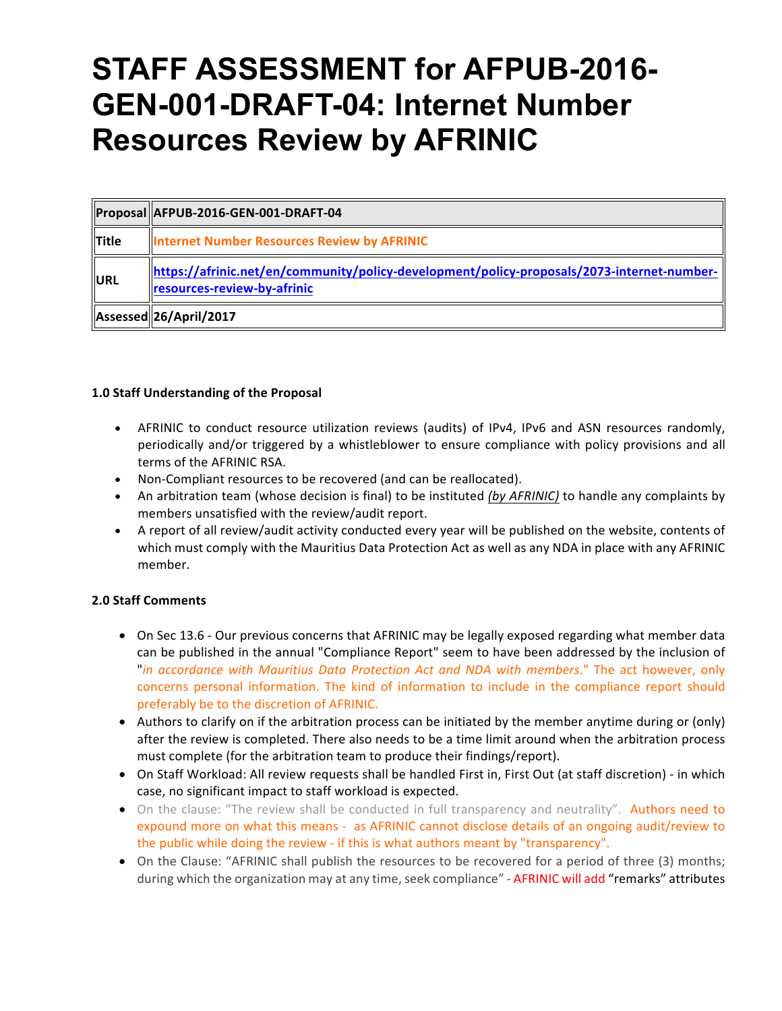# **STAFF ASSESSMENT for AFPUB-2016- GEN-001-DRAFT-04: Internet Number Resources Review by AFRINIC**

|            | Proposal AFPUB-2016-GEN-001-DRAFT-04                                                                                      |
|------------|---------------------------------------------------------------------------------------------------------------------------|
| $\ $ Title | <b>Internet Number Resources Review by AFRINIC</b>                                                                        |
| URL        | https://afrinic.net/en/community/policy-development/policy-proposals/2073-internet-number-<br>resources-review-by-afrinic |
|            | Assessed 26/April / 2017                                                                                                  |

## **1.0 Staff Understanding of the Proposal**

- AFRINIC to conduct resource utilization reviews (audits) of IPv4, IPv6 and ASN resources randomly, periodically and/or triggered by a whistleblower to ensure compliance with policy provisions and all terms of the AFRINIC RSA.
- Non-Compliant resources to be recovered (and can be reallocated).
- An arbitration team (whose decision is final) to be instituted (by AFRINIC) to handle any complaints by members unsatisfied with the review/audit report.
- A report of all review/audit activity conducted every year will be published on the website, contents of which must comply with the Mauritius Data Protection Act as well as any NDA in place with any AFRINIC member.

### **2.0 Staff Comments**

- On Sec 13.6 Our previous concerns that AFRINIC may be legally exposed regarding what member data can be published in the annual "Compliance Report" seem to have been addressed by the inclusion of "*in accordance with Mauritius Data Protection Act and NDA with members*." The act however, only concerns personal information. The kind of information to include in the compliance report should preferably be to the discretion of AFRINIC.
- Authors to clarify on if the arbitration process can be initiated by the member anytime during or (only) after the review is completed. There also needs to be a time limit around when the arbitration process must complete (for the arbitration team to produce their findings/report).
- On Staff Workload: All review requests shall be handled First in, First Out (at staff discretion) in which case, no significant impact to staff workload is expected.
- On the clause: "The review shall be conducted in full transparency and neutrality". Authors need to expound more on what this means - as AFRINIC cannot disclose details of an ongoing audit/review to the public while doing the review - if this is what authors meant by "transparency".
- On the Clause: "AFRINIC shall publish the resources to be recovered for a period of three (3) months; during which the organization may at any time, seek compliance" - AFRINIC will add "remarks" attributes